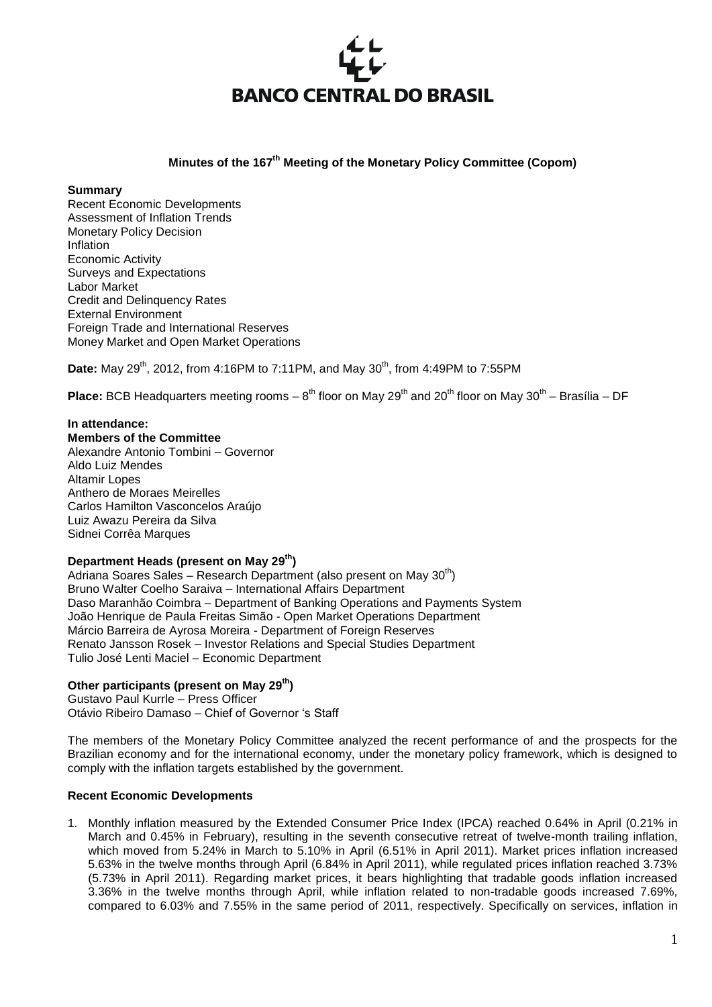

## **Minutes of the 167<sup>th</sup> Meeting of the Monetary Policy Committee (Copom)**

#### **Summary**

Recent Economic Developments Assessment of Inflation Trends Monetary Policy Decision Inflation Economic Activity Surveys and Expectations Labor Market Credit and Delinquency Rates External Environment Foreign Trade and International Reserves Money Market and Open Market Operations

**Date:** May 29<sup>th</sup>, 2012, from 4:16PM to 7:11PM, and May 30<sup>th</sup>, from 4:49PM to 7:55PM

Place: BCB Headquarters meeting rooms – 8<sup>th</sup> floor on May 29<sup>th</sup> and 20<sup>th</sup> floor on May 30<sup>th</sup> – Brasília – DF

## **In attendance:**

**Members of the Committee** Alexandre Antonio Tombini – Governor Aldo Luiz Mendes Altamir Lopes Anthero de Moraes Meirelles Carlos Hamilton Vasconcelos Araújo Luiz Awazu Pereira da Silva Sidnei Corrêa Marques

## **Department Heads (present on May 29th)**

Adriana Soares Sales – Research Department (also present on May  $30<sup>th</sup>$ ) Bruno Walter Coelho Saraiva – International Affairs Department Daso Maranhão Coimbra – Department of Banking Operations and Payments System João Henrique de Paula Freitas Simão - Open Market Operations Department Márcio Barreira de Ayrosa Moreira - Department of Foreign Reserves Renato Jansson Rosek – Investor Relations and Special Studies Department Tulio José Lenti Maciel – Economic Department

## **Other participants (present on May 29th)**

Gustavo Paul Kurrle – Press Officer Otávio Ribeiro Damaso – Chief of Governor 's Staff

The members of the Monetary Policy Committee analyzed the recent performance of and the prospects for the Brazilian economy and for the international economy, under the monetary policy framework, which is designed to comply with the inflation targets established by the government.

## **Recent Economic Developments**

1. Monthly inflation measured by the Extended Consumer Price Index (IPCA) reached 0.64% in April (0.21% in March and 0.45% in February), resulting in the seventh consecutive retreat of twelve-month trailing inflation, which moved from 5.24% in March to 5.10% in April (6.51% in April 2011). Market prices inflation increased 5.63% in the twelve months through April (6.84% in April 2011), while regulated prices inflation reached 3.73% (5.73% in April 2011). Regarding market prices, it bears highlighting that tradable goods inflation increased 3.36% in the twelve months through April, while inflation related to non-tradable goods increased 7.69%, compared to 6.03% and 7.55% in the same period of 2011, respectively. Specifically on services, inflation in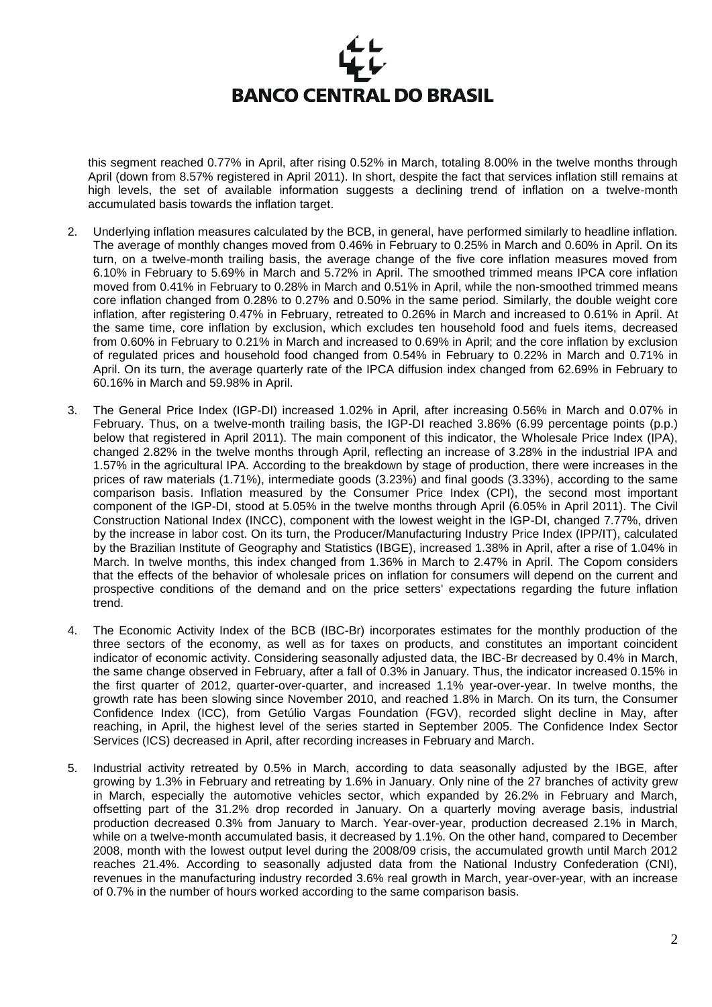

this segment reached 0.77% in April, after rising 0.52% in March, totaling 8.00% in the twelve months through April (down from 8.57% registered in April 2011). In short, despite the fact that services inflation still remains at high levels, the set of available information suggests a declining trend of inflation on a twelve-month accumulated basis towards the inflation target.

- 2. Underlying inflation measures calculated by the BCB, in general, have performed similarly to headline inflation. The average of monthly changes moved from 0.46% in February to 0.25% in March and 0.60% in April. On its turn, on a twelve-month trailing basis, the average change of the five core inflation measures moved from 6.10% in February to 5.69% in March and 5.72% in April. The smoothed trimmed means IPCA core inflation moved from 0.41% in February to 0.28% in March and 0.51% in April, while the non-smoothed trimmed means core inflation changed from 0.28% to 0.27% and 0.50% in the same period. Similarly, the double weight core inflation, after registering 0.47% in February, retreated to 0.26% in March and increased to 0.61% in April. At the same time, core inflation by exclusion, which excludes ten household food and fuels items, decreased from 0.60% in February to 0.21% in March and increased to 0.69% in April; and the core inflation by exclusion of regulated prices and household food changed from 0.54% in February to 0.22% in March and 0.71% in April. On its turn, the average quarterly rate of the IPCA diffusion index changed from 62.69% in February to 60.16% in March and 59.98% in April.
- 3. The General Price Index (IGP-DI) increased 1.02% in April, after increasing 0.56% in March and 0.07% in February. Thus, on a twelve-month trailing basis, the IGP-DI reached 3.86% (6.99 percentage points (p.p.) below that registered in April 2011). The main component of this indicator, the Wholesale Price Index (IPA), changed 2.82% in the twelve months through April, reflecting an increase of 3.28% in the industrial IPA and 1.57% in the agricultural IPA. According to the breakdown by stage of production, there were increases in the prices of raw materials (1.71%), intermediate goods (3.23%) and final goods (3.33%), according to the same comparison basis. Inflation measured by the Consumer Price Index (CPI), the second most important component of the IGP-DI, stood at 5.05% in the twelve months through April (6.05% in April 2011). The Civil Construction National Index (INCC), component with the lowest weight in the IGP-DI, changed 7.77%, driven by the increase in labor cost. On its turn, the Producer/Manufacturing Industry Price Index (IPP/IT), calculated by the Brazilian Institute of Geography and Statistics (IBGE), increased 1.38% in April, after a rise of 1.04% in March. In twelve months, this index changed from 1.36% in March to 2.47% in April. The Copom considers that the effects of the behavior of wholesale prices on inflation for consumers will depend on the current and prospective conditions of the demand and on the price setters' expectations regarding the future inflation trend.
- 4. The Economic Activity Index of the BCB (IBC-Br) incorporates estimates for the monthly production of the three sectors of the economy, as well as for taxes on products, and constitutes an important coincident indicator of economic activity. Considering seasonally adjusted data, the IBC-Br decreased by 0.4% in March, the same change observed in February, after a fall of 0.3% in January. Thus, the indicator increased 0.15% in the first quarter of 2012, quarter-over-quarter, and increased 1.1% year-over-year. In twelve months, the growth rate has been slowing since November 2010, and reached 1.8% in March. On its turn, the Consumer Confidence Index (ICC), from Getúlio Vargas Foundation (FGV), recorded slight decline in May, after reaching, in April, the highest level of the series started in September 2005. The Confidence Index Sector Services (ICS) decreased in April, after recording increases in February and March.
- 5. Industrial activity retreated by 0.5% in March, according to data seasonally adjusted by the IBGE, after growing by 1.3% in February and retreating by 1.6% in January. Only nine of the 27 branches of activity grew in March, especially the automotive vehicles sector, which expanded by 26.2% in February and March, offsetting part of the 31.2% drop recorded in January. On a quarterly moving average basis, industrial production decreased 0.3% from January to March. Year-over-year, production decreased 2.1% in March, while on a twelve-month accumulated basis, it decreased by 1.1%. On the other hand, compared to December 2008, month with the lowest output level during the 2008/09 crisis, the accumulated growth until March 2012 reaches 21.4%. According to seasonally adjusted data from the National Industry Confederation (CNI), revenues in the manufacturing industry recorded 3.6% real growth in March, year-over-year, with an increase of 0.7% in the number of hours worked according to the same comparison basis.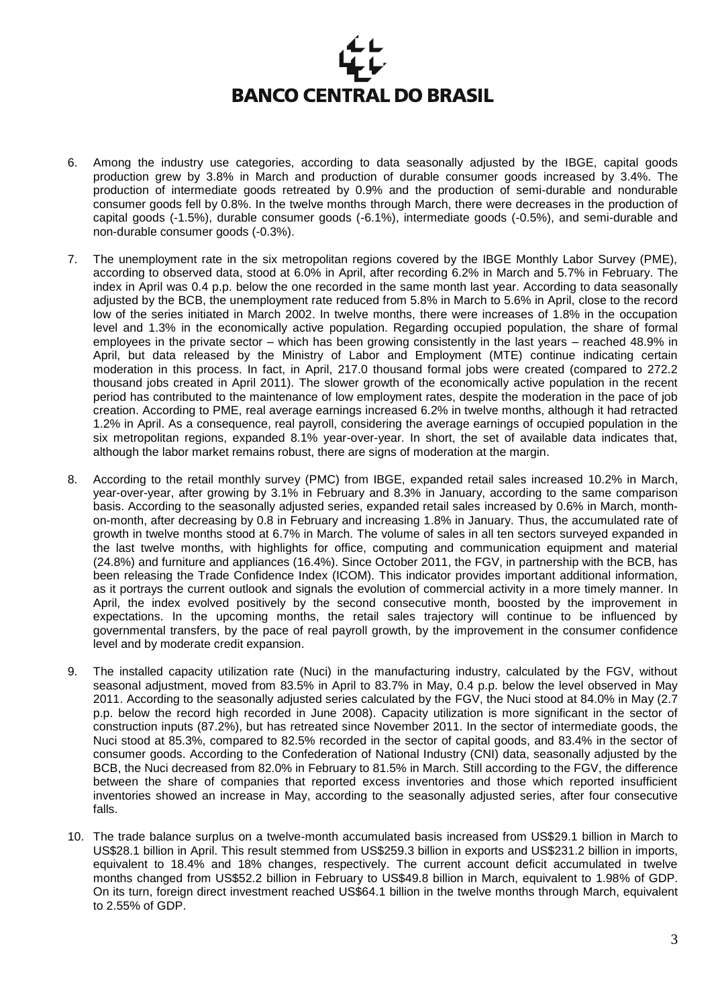- 6. Among the industry use categories, according to data seasonally adjusted by the IBGE, capital goods production grew by 3.8% in March and production of durable consumer goods increased by 3.4%. The production of intermediate goods retreated by 0.9% and the production of semi-durable and nondurable consumer goods fell by 0.8%. In the twelve months through March, there were decreases in the production of capital goods (-1.5%), durable consumer goods (-6.1%), intermediate goods (-0.5%), and semi-durable and non-durable consumer goods (-0.3%).
- 7. The unemployment rate in the six metropolitan regions covered by the IBGE Monthly Labor Survey (PME), according to observed data, stood at 6.0% in April, after recording 6.2% in March and 5.7% in February. The index in April was 0.4 p.p. below the one recorded in the same month last year. According to data seasonally adjusted by the BCB, the unemployment rate reduced from 5.8% in March to 5.6% in April, close to the record low of the series initiated in March 2002. In twelve months, there were increases of 1.8% in the occupation level and 1.3% in the economically active population. Regarding occupied population, the share of formal employees in the private sector – which has been growing consistently in the last years – reached 48.9% in April, but data released by the Ministry of Labor and Employment (MTE) continue indicating certain moderation in this process. In fact, in April, 217.0 thousand formal jobs were created (compared to 272.2 thousand jobs created in April 2011). The slower growth of the economically active population in the recent period has contributed to the maintenance of low employment rates, despite the moderation in the pace of job creation. According to PME, real average earnings increased 6.2% in twelve months, although it had retracted 1.2% in April. As a consequence, real payroll, considering the average earnings of occupied population in the six metropolitan regions, expanded 8.1% year-over-year. In short, the set of available data indicates that, although the labor market remains robust, there are signs of moderation at the margin.
- 8. According to the retail monthly survey (PMC) from IBGE, expanded retail sales increased 10.2% in March, year-over-year, after growing by 3.1% in February and 8.3% in January, according to the same comparison basis. According to the seasonally adjusted series, expanded retail sales increased by 0.6% in March, monthon-month, after decreasing by 0.8 in February and increasing 1.8% in January. Thus, the accumulated rate of growth in twelve months stood at 6.7% in March. The volume of sales in all ten sectors surveyed expanded in the last twelve months, with highlights for office, computing and communication equipment and material (24.8%) and furniture and appliances (16.4%). Since October 2011, the FGV, in partnership with the BCB, has been releasing the Trade Confidence Index (ICOM). This indicator provides important additional information, as it portrays the current outlook and signals the evolution of commercial activity in a more timely manner. In April, the index evolved positively by the second consecutive month, boosted by the improvement in expectations. In the upcoming months, the retail sales trajectory will continue to be influenced by governmental transfers, by the pace of real payroll growth, by the improvement in the consumer confidence level and by moderate credit expansion.
- 9. The installed capacity utilization rate (Nuci) in the manufacturing industry, calculated by the FGV, without seasonal adjustment, moved from 83.5% in April to 83.7% in May, 0.4 p.p. below the level observed in May 2011. According to the seasonally adjusted series calculated by the FGV, the Nuci stood at 84.0% in May (2.7 p.p. below the record high recorded in June 2008). Capacity utilization is more significant in the sector of construction inputs (87.2%), but has retreated since November 2011. In the sector of intermediate goods, the Nuci stood at 85.3%, compared to 82.5% recorded in the sector of capital goods, and 83.4% in the sector of consumer goods. According to the Confederation of National Industry (CNI) data, seasonally adjusted by the BCB, the Nuci decreased from 82.0% in February to 81.5% in March. Still according to the FGV, the difference between the share of companies that reported excess inventories and those which reported insufficient inventories showed an increase in May, according to the seasonally adjusted series, after four consecutive falls.
- 10. The trade balance surplus on a twelve-month accumulated basis increased from US\$29.1 billion in March to US\$28.1 billion in April. This result stemmed from US\$259.3 billion in exports and US\$231.2 billion in imports, equivalent to 18.4% and 18% changes, respectively. The current account deficit accumulated in twelve months changed from US\$52.2 billion in February to US\$49.8 billion in March, equivalent to 1.98% of GDP. On its turn, foreign direct investment reached US\$64.1 billion in the twelve months through March, equivalent to 2.55% of GDP.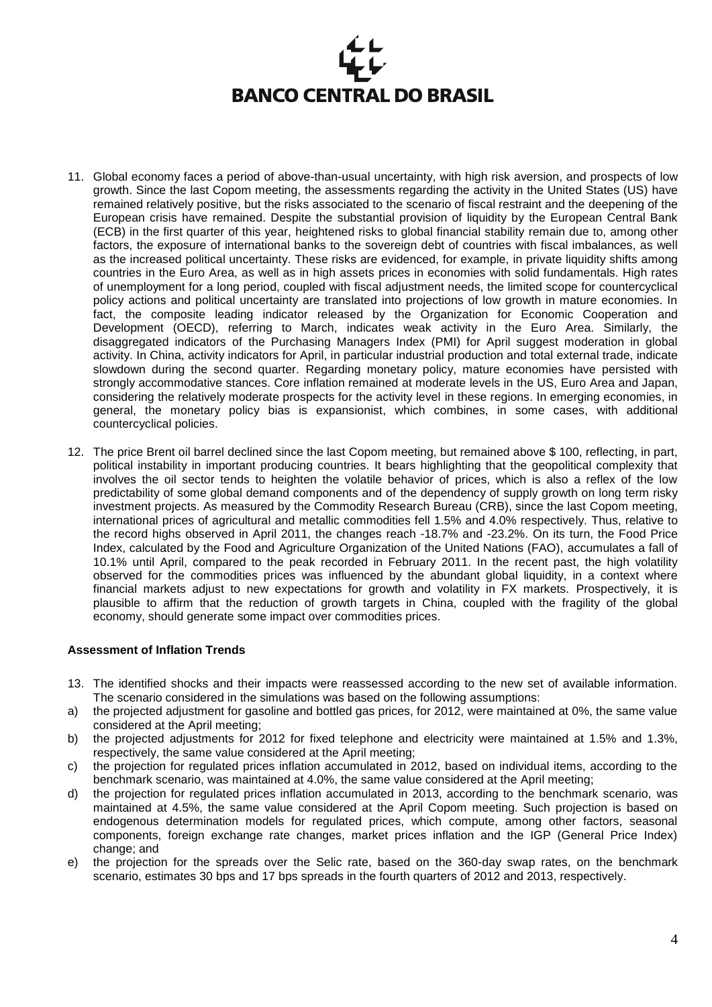- 11. Global economy faces a period of above-than-usual uncertainty, with high risk aversion, and prospects of low growth. Since the last Copom meeting, the assessments regarding the activity in the United States (US) have remained relatively positive, but the risks associated to the scenario of fiscal restraint and the deepening of the European crisis have remained. Despite the substantial provision of liquidity by the European Central Bank (ECB) in the first quarter of this year, heightened risks to global financial stability remain due to, among other factors, the exposure of international banks to the sovereign debt of countries with fiscal imbalances, as well as the increased political uncertainty. These risks are evidenced, for example, in private liquidity shifts among countries in the Euro Area, as well as in high assets prices in economies with solid fundamentals. High rates of unemployment for a long period, coupled with fiscal adjustment needs, the limited scope for countercyclical policy actions and political uncertainty are translated into projections of low growth in mature economies. In fact, the composite leading indicator released by the Organization for Economic Cooperation and Development (OECD), referring to March, indicates weak activity in the Euro Area. Similarly, the disaggregated indicators of the Purchasing Managers Index (PMI) for April suggest moderation in global activity. In China, activity indicators for April, in particular industrial production and total external trade, indicate slowdown during the second quarter. Regarding monetary policy, mature economies have persisted with strongly accommodative stances. Core inflation remained at moderate levels in the US, Euro Area and Japan, considering the relatively moderate prospects for the activity level in these regions. In emerging economies, in general, the monetary policy bias is expansionist, which combines, in some cases, with additional countercyclical policies.
- 12. The price Brent oil barrel declined since the last Copom meeting, but remained above \$ 100, reflecting, in part, political instability in important producing countries. It bears highlighting that the geopolitical complexity that involves the oil sector tends to heighten the volatile behavior of prices, which is also a reflex of the low predictability of some global demand components and of the dependency of supply growth on long term risky investment projects. As measured by the Commodity Research Bureau (CRB), since the last Copom meeting, international prices of agricultural and metallic commodities fell 1.5% and 4.0% respectively. Thus, relative to the record highs observed in April 2011, the changes reach -18.7% and -23.2%. On its turn, the Food Price Index, calculated by the Food and Agriculture Organization of the United Nations (FAO), accumulates a fall of 10.1% until April, compared to the peak recorded in February 2011. In the recent past, the high volatility observed for the commodities prices was influenced by the abundant global liquidity, in a context where financial markets adjust to new expectations for growth and volatility in FX markets. Prospectively, it is plausible to affirm that the reduction of growth targets in China, coupled with the fragility of the global economy, should generate some impact over commodities prices.

## **Assessment of Inflation Trends**

- 13. The identified shocks and their impacts were reassessed according to the new set of available information. The scenario considered in the simulations was based on the following assumptions:
- a) the projected adjustment for gasoline and bottled gas prices, for 2012, were maintained at 0%, the same value considered at the April meeting;
- b) the projected adjustments for 2012 for fixed telephone and electricity were maintained at 1.5% and 1.3%, respectively, the same value considered at the April meeting;
- c) the projection for regulated prices inflation accumulated in 2012, based on individual items, according to the benchmark scenario, was maintained at 4.0%, the same value considered at the April meeting;
- d) the projection for regulated prices inflation accumulated in 2013, according to the benchmark scenario, was maintained at 4.5%, the same value considered at the April Copom meeting. Such projection is based on endogenous determination models for regulated prices, which compute, among other factors, seasonal components, foreign exchange rate changes, market prices inflation and the IGP (General Price Index) change; and
- e) the projection for the spreads over the Selic rate, based on the 360-day swap rates, on the benchmark scenario, estimates 30 bps and 17 bps spreads in the fourth quarters of 2012 and 2013, respectively.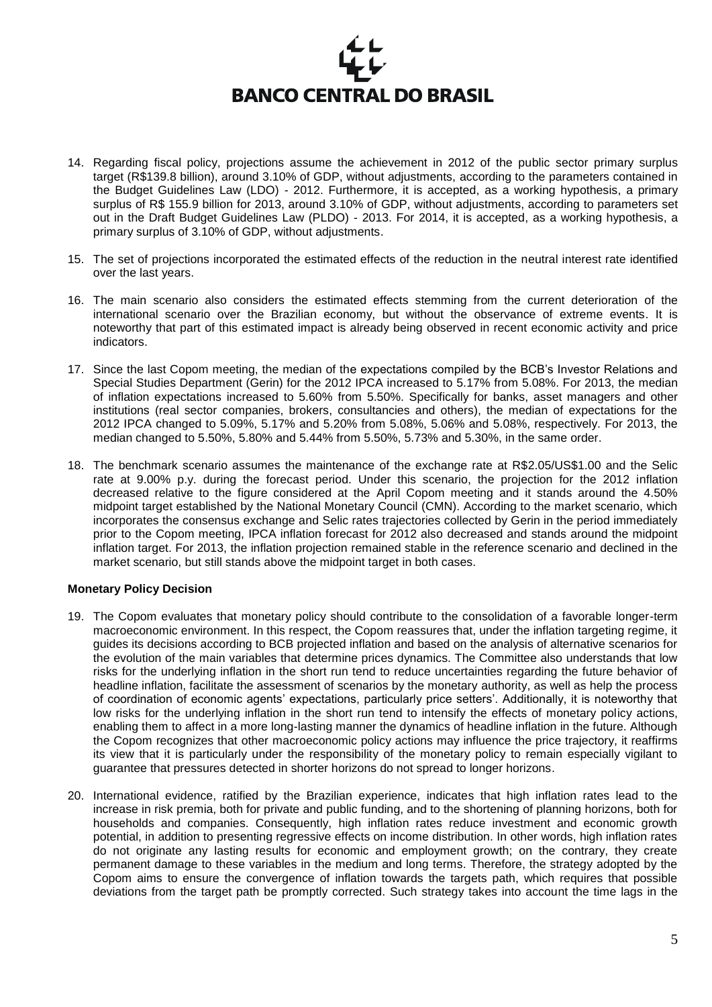

- 14. Regarding fiscal policy, projections assume the achievement in 2012 of the public sector primary surplus target (R\$139.8 billion), around 3.10% of GDP, without adjustments, according to the parameters contained in the Budget Guidelines Law (LDO) - 2012. Furthermore, it is accepted, as a working hypothesis, a primary surplus of R\$ 155.9 billion for 2013, around 3.10% of GDP, without adjustments, according to parameters set out in the Draft Budget Guidelines Law (PLDO) - 2013. For 2014, it is accepted, as a working hypothesis, a primary surplus of 3.10% of GDP, without adjustments.
- 15. The set of projections incorporated the estimated effects of the reduction in the neutral interest rate identified over the last years.
- 16. The main scenario also considers the estimated effects stemming from the current deterioration of the international scenario over the Brazilian economy, but without the observance of extreme events. It is noteworthy that part of this estimated impact is already being observed in recent economic activity and price indicators.
- 17. Since the last Copom meeting, the median of the expectations compiled by the BCB's Investor Relations and Special Studies Department (Gerin) for the 2012 IPCA increased to 5.17% from 5.08%. For 2013, the median of inflation expectations increased to 5.60% from 5.50%. Specifically for banks, asset managers and other institutions (real sector companies, brokers, consultancies and others), the median of expectations for the 2012 IPCA changed to 5.09%, 5.17% and 5.20% from 5.08%, 5.06% and 5.08%, respectively. For 2013, the median changed to 5.50%, 5.80% and 5.44% from 5.50%, 5.73% and 5.30%, in the same order.
- 18. The benchmark scenario assumes the maintenance of the exchange rate at R\$2.05/US\$1.00 and the Selic rate at 9.00% p.y. during the forecast period. Under this scenario, the projection for the 2012 inflation decreased relative to the figure considered at the April Copom meeting and it stands around the 4.50% midpoint target established by the National Monetary Council (CMN). According to the market scenario, which incorporates the consensus exchange and Selic rates trajectories collected by Gerin in the period immediately prior to the Copom meeting, IPCA inflation forecast for 2012 also decreased and stands around the midpoint inflation target. For 2013, the inflation projection remained stable in the reference scenario and declined in the market scenario, but still stands above the midpoint target in both cases.

#### **Monetary Policy Decision**

- 19. The Copom evaluates that monetary policy should contribute to the consolidation of a favorable longer-term macroeconomic environment. In this respect, the Copom reassures that, under the inflation targeting regime, it guides its decisions according to BCB projected inflation and based on the analysis of alternative scenarios for the evolution of the main variables that determine prices dynamics. The Committee also understands that low risks for the underlying inflation in the short run tend to reduce uncertainties regarding the future behavior of headline inflation, facilitate the assessment of scenarios by the monetary authority, as well as help the process of coordination of economic agents' expectations, particularly price setters'. Additionally, it is noteworthy that low risks for the underlying inflation in the short run tend to intensify the effects of monetary policy actions, enabling them to affect in a more long-lasting manner the dynamics of headline inflation in the future. Although the Copom recognizes that other macroeconomic policy actions may influence the price trajectory, it reaffirms its view that it is particularly under the responsibility of the monetary policy to remain especially vigilant to guarantee that pressures detected in shorter horizons do not spread to longer horizons.
- 20. International evidence, ratified by the Brazilian experience, indicates that high inflation rates lead to the increase in risk premia, both for private and public funding, and to the shortening of planning horizons, both for households and companies. Consequently, high inflation rates reduce investment and economic growth potential, in addition to presenting regressive effects on income distribution. In other words, high inflation rates do not originate any lasting results for economic and employment growth; on the contrary, they create permanent damage to these variables in the medium and long terms. Therefore, the strategy adopted by the Copom aims to ensure the convergence of inflation towards the targets path, which requires that possible deviations from the target path be promptly corrected. Such strategy takes into account the time lags in the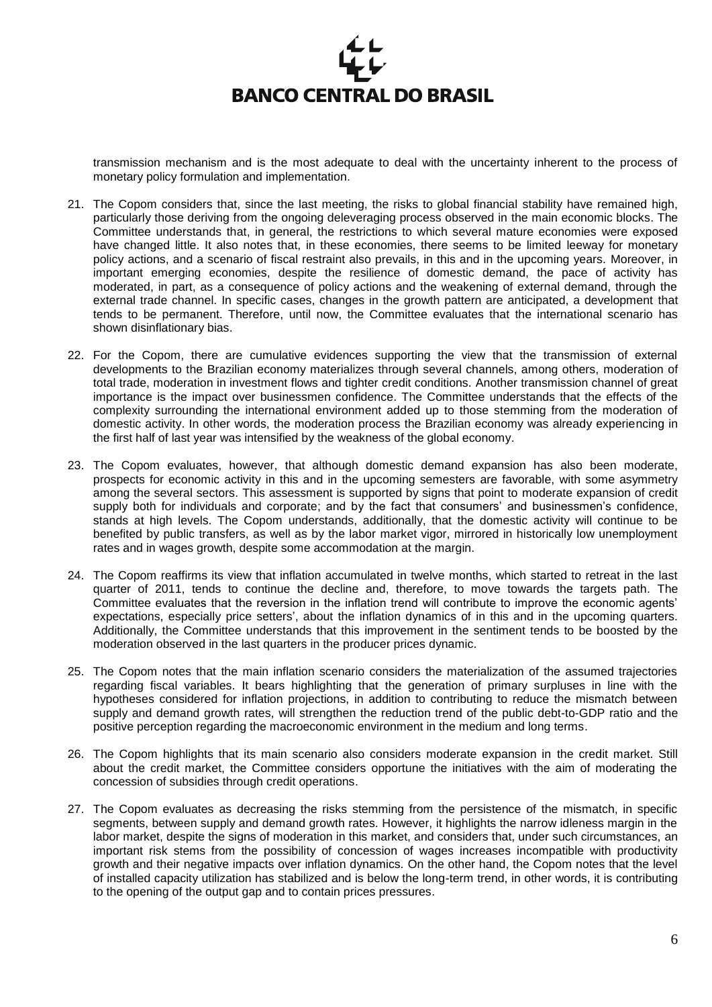

transmission mechanism and is the most adequate to deal with the uncertainty inherent to the process of monetary policy formulation and implementation.

- 21. The Copom considers that, since the last meeting, the risks to global financial stability have remained high, particularly those deriving from the ongoing deleveraging process observed in the main economic blocks. The Committee understands that, in general, the restrictions to which several mature economies were exposed have changed little. It also notes that, in these economies, there seems to be limited leeway for monetary policy actions, and a scenario of fiscal restraint also prevails, in this and in the upcoming years. Moreover, in important emerging economies, despite the resilience of domestic demand, the pace of activity has moderated, in part, as a consequence of policy actions and the weakening of external demand, through the external trade channel. In specific cases, changes in the growth pattern are anticipated, a development that tends to be permanent. Therefore, until now, the Committee evaluates that the international scenario has shown disinflationary bias.
- 22. For the Copom, there are cumulative evidences supporting the view that the transmission of external developments to the Brazilian economy materializes through several channels, among others, moderation of total trade, moderation in investment flows and tighter credit conditions. Another transmission channel of great importance is the impact over businessmen confidence. The Committee understands that the effects of the complexity surrounding the international environment added up to those stemming from the moderation of domestic activity. In other words, the moderation process the Brazilian economy was already experiencing in the first half of last year was intensified by the weakness of the global economy.
- 23. The Copom evaluates, however, that although domestic demand expansion has also been moderate, prospects for economic activity in this and in the upcoming semesters are favorable, with some asymmetry among the several sectors. This assessment is supported by signs that point to moderate expansion of credit supply both for individuals and corporate; and by the fact that consumers' and businessmen's confidence, stands at high levels. The Copom understands, additionally, that the domestic activity will continue to be benefited by public transfers, as well as by the labor market vigor, mirrored in historically low unemployment rates and in wages growth, despite some accommodation at the margin.
- 24. The Copom reaffirms its view that inflation accumulated in twelve months, which started to retreat in the last quarter of 2011, tends to continue the decline and, therefore, to move towards the targets path. The Committee evaluates that the reversion in the inflation trend will contribute to improve the economic agents' expectations, especially price setters', about the inflation dynamics of in this and in the upcoming quarters. Additionally, the Committee understands that this improvement in the sentiment tends to be boosted by the moderation observed in the last quarters in the producer prices dynamic.
- 25. The Copom notes that the main inflation scenario considers the materialization of the assumed trajectories regarding fiscal variables. It bears highlighting that the generation of primary surpluses in line with the hypotheses considered for inflation projections, in addition to contributing to reduce the mismatch between supply and demand growth rates, will strengthen the reduction trend of the public debt-to-GDP ratio and the positive perception regarding the macroeconomic environment in the medium and long terms.
- 26. The Copom highlights that its main scenario also considers moderate expansion in the credit market. Still about the credit market, the Committee considers opportune the initiatives with the aim of moderating the concession of subsidies through credit operations.
- 27. The Copom evaluates as decreasing the risks stemming from the persistence of the mismatch, in specific segments, between supply and demand growth rates. However, it highlights the narrow idleness margin in the labor market, despite the signs of moderation in this market, and considers that, under such circumstances, an important risk stems from the possibility of concession of wages increases incompatible with productivity growth and their negative impacts over inflation dynamics. On the other hand, the Copom notes that the level of installed capacity utilization has stabilized and is below the long-term trend, in other words, it is contributing to the opening of the output gap and to contain prices pressures.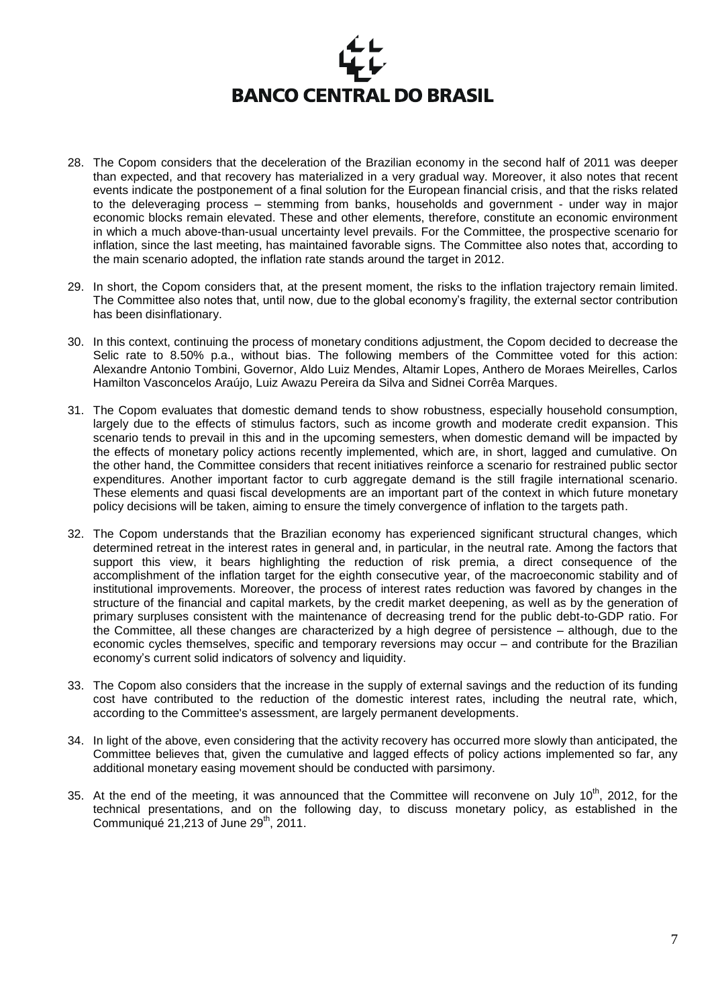

- 28. The Copom considers that the deceleration of the Brazilian economy in the second half of 2011 was deeper than expected, and that recovery has materialized in a very gradual way. Moreover, it also notes that recent events indicate the postponement of a final solution for the European financial crisis, and that the risks related to the deleveraging process – stemming from banks, households and government - under way in major economic blocks remain elevated. These and other elements, therefore, constitute an economic environment in which a much above-than-usual uncertainty level prevails. For the Committee, the prospective scenario for inflation, since the last meeting, has maintained favorable signs. The Committee also notes that, according to the main scenario adopted, the inflation rate stands around the target in 2012.
- 29. In short, the Copom considers that, at the present moment, the risks to the inflation trajectory remain limited. The Committee also notes that, until now, due to the global economy's fragility, the external sector contribution has been disinflationary.
- 30. In this context, continuing the process of monetary conditions adjustment, the Copom decided to decrease the Selic rate to 8.50% p.a., without bias. The following members of the Committee voted for this action: Alexandre Antonio Tombini, Governor, Aldo Luiz Mendes, Altamir Lopes, Anthero de Moraes Meirelles, Carlos Hamilton Vasconcelos Araújo, Luiz Awazu Pereira da Silva and Sidnei Corrêa Marques.
- 31. The Copom evaluates that domestic demand tends to show robustness, especially household consumption, largely due to the effects of stimulus factors, such as income growth and moderate credit expansion. This scenario tends to prevail in this and in the upcoming semesters, when domestic demand will be impacted by the effects of monetary policy actions recently implemented, which are, in short, lagged and cumulative. On the other hand, the Committee considers that recent initiatives reinforce a scenario for restrained public sector expenditures. Another important factor to curb aggregate demand is the still fragile international scenario. These elements and quasi fiscal developments are an important part of the context in which future monetary policy decisions will be taken, aiming to ensure the timely convergence of inflation to the targets path.
- 32. The Copom understands that the Brazilian economy has experienced significant structural changes, which determined retreat in the interest rates in general and, in particular, in the neutral rate. Among the factors that support this view, it bears highlighting the reduction of risk premia, a direct consequence of the accomplishment of the inflation target for the eighth consecutive year, of the macroeconomic stability and of institutional improvements. Moreover, the process of interest rates reduction was favored by changes in the structure of the financial and capital markets, by the credit market deepening, as well as by the generation of primary surpluses consistent with the maintenance of decreasing trend for the public debt-to-GDP ratio. For the Committee, all these changes are characterized by a high degree of persistence – although, due to the economic cycles themselves, specific and temporary reversions may occur – and contribute for the Brazilian economy's current solid indicators of solvency and liquidity.
- 33. The Copom also considers that the increase in the supply of external savings and the reduction of its funding cost have contributed to the reduction of the domestic interest rates, including the neutral rate, which, according to the Committee's assessment, are largely permanent developments.
- 34. In light of the above, even considering that the activity recovery has occurred more slowly than anticipated, the Committee believes that, given the cumulative and lagged effects of policy actions implemented so far, any additional monetary easing movement should be conducted with parsimony.
- 35. At the end of the meeting, it was announced that the Committee will reconvene on July 10<sup>th</sup>, 2012, for the technical presentations, and on the following day, to discuss monetary policy, as established in the Communiqué 21,213 of June  $29<sup>th</sup>$ , 2011.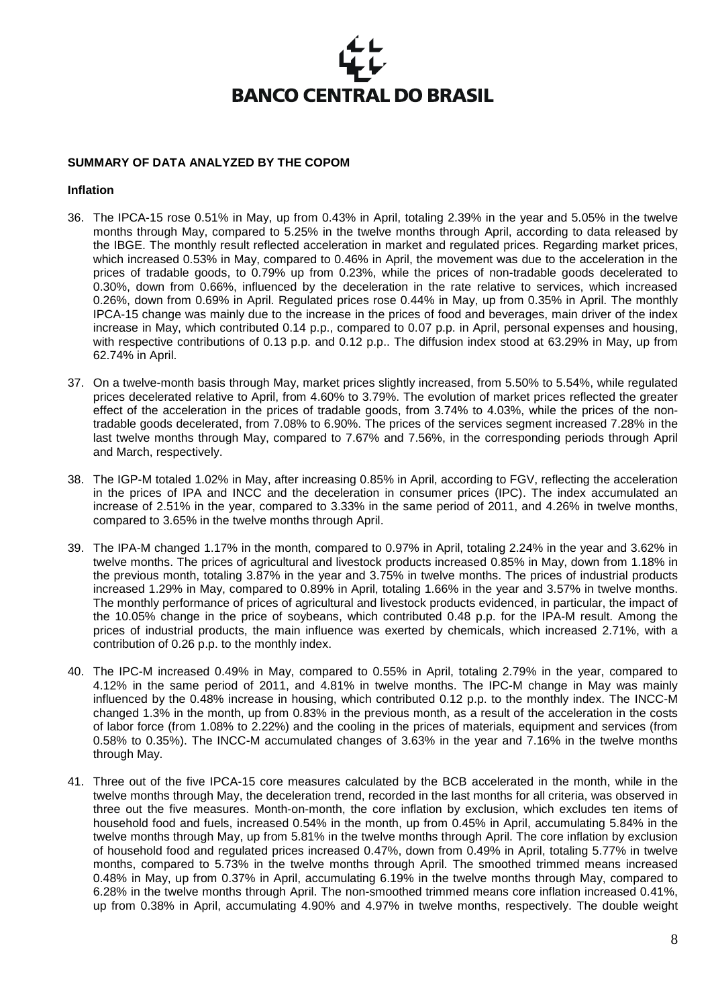### **SUMMARY OF DATA ANALYZED BY THE COPOM**

#### **Inflation**

- 36. The IPCA-15 rose 0.51% in May, up from 0.43% in April, totaling 2.39% in the year and 5.05% in the twelve months through May, compared to 5.25% in the twelve months through April, according to data released by the IBGE. The monthly result reflected acceleration in market and regulated prices. Regarding market prices, which increased 0.53% in May, compared to 0.46% in April, the movement was due to the acceleration in the prices of tradable goods, to 0.79% up from 0.23%, while the prices of non-tradable goods decelerated to 0.30%, down from 0.66%, influenced by the deceleration in the rate relative to services, which increased 0.26%, down from 0.69% in April. Regulated prices rose 0.44% in May, up from 0.35% in April. The monthly IPCA-15 change was mainly due to the increase in the prices of food and beverages, main driver of the index increase in May, which contributed 0.14 p.p., compared to 0.07 p.p. in April, personal expenses and housing, with respective contributions of 0.13 p.p. and 0.12 p.p.. The diffusion index stood at 63.29% in May, up from 62.74% in April.
- 37. On a twelve-month basis through May, market prices slightly increased, from 5.50% to 5.54%, while regulated prices decelerated relative to April, from 4.60% to 3.79%. The evolution of market prices reflected the greater effect of the acceleration in the prices of tradable goods, from 3.74% to 4.03%, while the prices of the nontradable goods decelerated, from 7.08% to 6.90%. The prices of the services segment increased 7.28% in the last twelve months through May, compared to 7.67% and 7.56%, in the corresponding periods through April and March, respectively.
- 38. The IGP-M totaled 1.02% in May, after increasing 0.85% in April, according to FGV, reflecting the acceleration in the prices of IPA and INCC and the deceleration in consumer prices (IPC). The index accumulated an increase of 2.51% in the year, compared to 3.33% in the same period of 2011, and 4.26% in twelve months, compared to 3.65% in the twelve months through April.
- 39. The IPA-M changed 1.17% in the month, compared to 0.97% in April, totaling 2.24% in the year and 3.62% in twelve months. The prices of agricultural and livestock products increased 0.85% in May, down from 1.18% in the previous month, totaling 3.87% in the year and 3.75% in twelve months. The prices of industrial products increased 1.29% in May, compared to 0.89% in April, totaling 1.66% in the year and 3.57% in twelve months. The monthly performance of prices of agricultural and livestock products evidenced, in particular, the impact of the 10.05% change in the price of soybeans, which contributed 0.48 p.p. for the IPA-M result. Among the prices of industrial products, the main influence was exerted by chemicals, which increased 2.71%, with a contribution of 0.26 p.p. to the monthly index.
- 40. The IPC-M increased 0.49% in May, compared to 0.55% in April, totaling 2.79% in the year, compared to 4.12% in the same period of 2011, and 4.81% in twelve months. The IPC-M change in May was mainly influenced by the 0.48% increase in housing, which contributed 0.12 p.p. to the monthly index. The INCC-M changed 1.3% in the month, up from 0.83% in the previous month, as a result of the acceleration in the costs of labor force (from 1.08% to 2.22%) and the cooling in the prices of materials, equipment and services (from 0.58% to 0.35%). The INCC-M accumulated changes of 3.63% in the year and 7.16% in the twelve months through May.
- 41. Three out of the five IPCA-15 core measures calculated by the BCB accelerated in the month, while in the twelve months through May, the deceleration trend, recorded in the last months for all criteria, was observed in three out the five measures. Month-on-month, the core inflation by exclusion, which excludes ten items of household food and fuels, increased 0.54% in the month, up from 0.45% in April, accumulating 5.84% in the twelve months through May, up from 5.81% in the twelve months through April. The core inflation by exclusion of household food and regulated prices increased 0.47%, down from 0.49% in April, totaling 5.77% in twelve months, compared to 5.73% in the twelve months through April. The smoothed trimmed means increased 0.48% in May, up from 0.37% in April, accumulating 6.19% in the twelve months through May, compared to 6.28% in the twelve months through April. The non-smoothed trimmed means core inflation increased 0.41%, up from 0.38% in April, accumulating 4.90% and 4.97% in twelve months, respectively. The double weight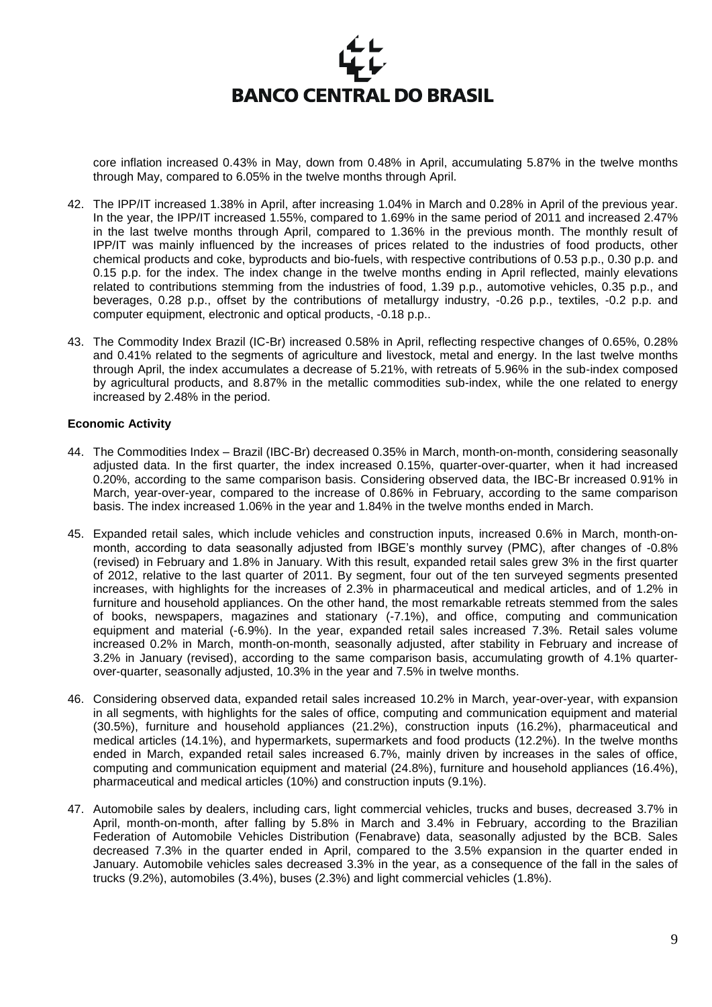

core inflation increased 0.43% in May, down from 0.48% in April, accumulating 5.87% in the twelve months through May, compared to 6.05% in the twelve months through April.

- 42. The IPP/IT increased 1.38% in April, after increasing 1.04% in March and 0.28% in April of the previous year. In the year, the IPP/IT increased 1.55%, compared to 1.69% in the same period of 2011 and increased 2.47% in the last twelve months through April, compared to 1.36% in the previous month. The monthly result of IPP/IT was mainly influenced by the increases of prices related to the industries of food products, other chemical products and coke, byproducts and bio-fuels, with respective contributions of 0.53 p.p., 0.30 p.p. and 0.15 p.p. for the index. The index change in the twelve months ending in April reflected, mainly elevations related to contributions stemming from the industries of food, 1.39 p.p., automotive vehicles, 0.35 p.p., and beverages, 0.28 p.p., offset by the contributions of metallurgy industry, -0.26 p.p., textiles, -0.2 p.p. and computer equipment, electronic and optical products, -0.18 p.p..
- 43. The Commodity Index Brazil (IC-Br) increased 0.58% in April, reflecting respective changes of 0.65%, 0.28% and 0.41% related to the segments of agriculture and livestock, metal and energy. In the last twelve months through April, the index accumulates a decrease of 5.21%, with retreats of 5.96% in the sub-index composed by agricultural products, and 8.87% in the metallic commodities sub-index, while the one related to energy increased by 2.48% in the period.

#### **Economic Activity**

- 44. The Commodities Index Brazil (IBC-Br) decreased 0.35% in March, month-on-month, considering seasonally adjusted data. In the first quarter, the index increased 0.15%, quarter-over-quarter, when it had increased 0.20%, according to the same comparison basis. Considering observed data, the IBC-Br increased 0.91% in March, year-over-year, compared to the increase of 0.86% in February, according to the same comparison basis. The index increased 1.06% in the year and 1.84% in the twelve months ended in March.
- 45. Expanded retail sales, which include vehicles and construction inputs, increased 0.6% in March, month-onmonth, according to data seasonally adjusted from IBGE's monthly survey (PMC), after changes of -0.8% (revised) in February and 1.8% in January. With this result, expanded retail sales grew 3% in the first quarter of 2012, relative to the last quarter of 2011. By segment, four out of the ten surveyed segments presented increases, with highlights for the increases of 2.3% in pharmaceutical and medical articles, and of 1.2% in furniture and household appliances. On the other hand, the most remarkable retreats stemmed from the sales of books, newspapers, magazines and stationary (-7.1%), and office, computing and communication equipment and material (-6.9%). In the year, expanded retail sales increased 7.3%. Retail sales volume increased 0.2% in March, month-on-month, seasonally adjusted, after stability in February and increase of 3.2% in January (revised), according to the same comparison basis, accumulating growth of 4.1% quarterover-quarter, seasonally adjusted, 10.3% in the year and 7.5% in twelve months.
- 46. Considering observed data, expanded retail sales increased 10.2% in March, year-over-year, with expansion in all segments, with highlights for the sales of office, computing and communication equipment and material (30.5%), furniture and household appliances (21.2%), construction inputs (16.2%), pharmaceutical and medical articles (14.1%), and hypermarkets, supermarkets and food products (12.2%). In the twelve months ended in March, expanded retail sales increased 6.7%, mainly driven by increases in the sales of office, computing and communication equipment and material (24.8%), furniture and household appliances (16.4%), pharmaceutical and medical articles (10%) and construction inputs (9.1%).
- 47. Automobile sales by dealers, including cars, light commercial vehicles, trucks and buses, decreased 3.7% in April, month-on-month, after falling by 5.8% in March and 3.4% in February, according to the Brazilian Federation of Automobile Vehicles Distribution (Fenabrave) data, seasonally adjusted by the BCB. Sales decreased 7.3% in the quarter ended in April, compared to the 3.5% expansion in the quarter ended in January. Automobile vehicles sales decreased 3.3% in the year, as a consequence of the fall in the sales of trucks (9.2%), automobiles (3.4%), buses (2.3%) and light commercial vehicles (1.8%).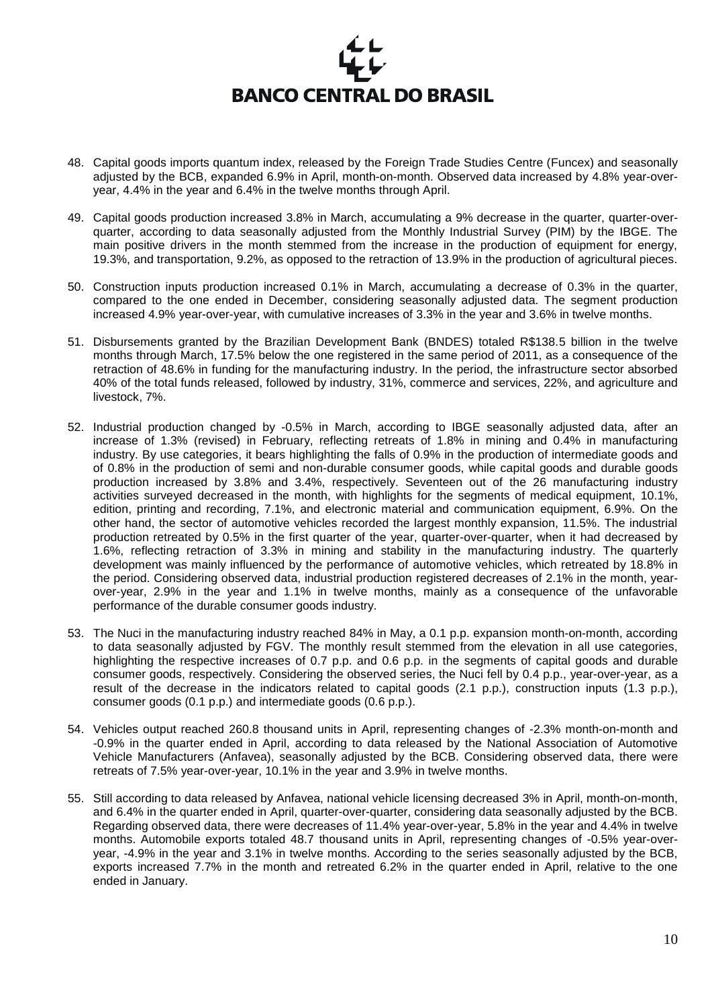

- 48. Capital goods imports quantum index, released by the Foreign Trade Studies Centre (Funcex) and seasonally adjusted by the BCB, expanded 6.9% in April, month-on-month. Observed data increased by 4.8% year-overyear, 4.4% in the year and 6.4% in the twelve months through April.
- 49. Capital goods production increased 3.8% in March, accumulating a 9% decrease in the quarter, quarter-overquarter, according to data seasonally adjusted from the Monthly Industrial Survey (PIM) by the IBGE. The main positive drivers in the month stemmed from the increase in the production of equipment for energy, 19.3%, and transportation, 9.2%, as opposed to the retraction of 13.9% in the production of agricultural pieces.
- 50. Construction inputs production increased 0.1% in March, accumulating a decrease of 0.3% in the quarter, compared to the one ended in December, considering seasonally adjusted data. The segment production increased 4.9% year-over-year, with cumulative increases of 3.3% in the year and 3.6% in twelve months.
- 51. Disbursements granted by the Brazilian Development Bank (BNDES) totaled R\$138.5 billion in the twelve months through March, 17.5% below the one registered in the same period of 2011, as a consequence of the retraction of 48.6% in funding for the manufacturing industry. In the period, the infrastructure sector absorbed 40% of the total funds released, followed by industry, 31%, commerce and services, 22%, and agriculture and livestock, 7%.
- 52. Industrial production changed by -0.5% in March, according to IBGE seasonally adjusted data, after an increase of 1.3% (revised) in February, reflecting retreats of 1.8% in mining and 0.4% in manufacturing industry. By use categories, it bears highlighting the falls of 0.9% in the production of intermediate goods and of 0.8% in the production of semi and non-durable consumer goods, while capital goods and durable goods production increased by 3.8% and 3.4%, respectively. Seventeen out of the 26 manufacturing industry activities surveyed decreased in the month, with highlights for the segments of medical equipment, 10.1%, edition, printing and recording, 7.1%, and electronic material and communication equipment, 6.9%. On the other hand, the sector of automotive vehicles recorded the largest monthly expansion, 11.5%. The industrial production retreated by 0.5% in the first quarter of the year, quarter-over-quarter, when it had decreased by 1.6%, reflecting retraction of 3.3% in mining and stability in the manufacturing industry. The quarterly development was mainly influenced by the performance of automotive vehicles, which retreated by 18.8% in the period. Considering observed data, industrial production registered decreases of 2.1% in the month, yearover-year, 2.9% in the year and 1.1% in twelve months, mainly as a consequence of the unfavorable performance of the durable consumer goods industry.
- 53. The Nuci in the manufacturing industry reached 84% in May, a 0.1 p.p. expansion month-on-month, according to data seasonally adjusted by FGV. The monthly result stemmed from the elevation in all use categories, highlighting the respective increases of 0.7 p.p. and 0.6 p.p. in the segments of capital goods and durable consumer goods, respectively. Considering the observed series, the Nuci fell by 0.4 p.p., year-over-year, as a result of the decrease in the indicators related to capital goods (2.1 p.p.), construction inputs (1.3 p.p.), consumer goods (0.1 p.p.) and intermediate goods (0.6 p.p.).
- 54. Vehicles output reached 260.8 thousand units in April, representing changes of -2.3% month-on-month and -0.9% in the quarter ended in April, according to data released by the National Association of Automotive Vehicle Manufacturers (Anfavea), seasonally adjusted by the BCB. Considering observed data, there were retreats of 7.5% year-over-year, 10.1% in the year and 3.9% in twelve months.
- 55. Still according to data released by Anfavea, national vehicle licensing decreased 3% in April, month-on-month, and 6.4% in the quarter ended in April, quarter-over-quarter, considering data seasonally adjusted by the BCB. Regarding observed data, there were decreases of 11.4% year-over-year, 5.8% in the year and 4.4% in twelve months. Automobile exports totaled 48.7 thousand units in April, representing changes of -0.5% year-overyear, -4.9% in the year and 3.1% in twelve months. According to the series seasonally adjusted by the BCB, exports increased 7.7% in the month and retreated 6.2% in the quarter ended in April, relative to the one ended in January.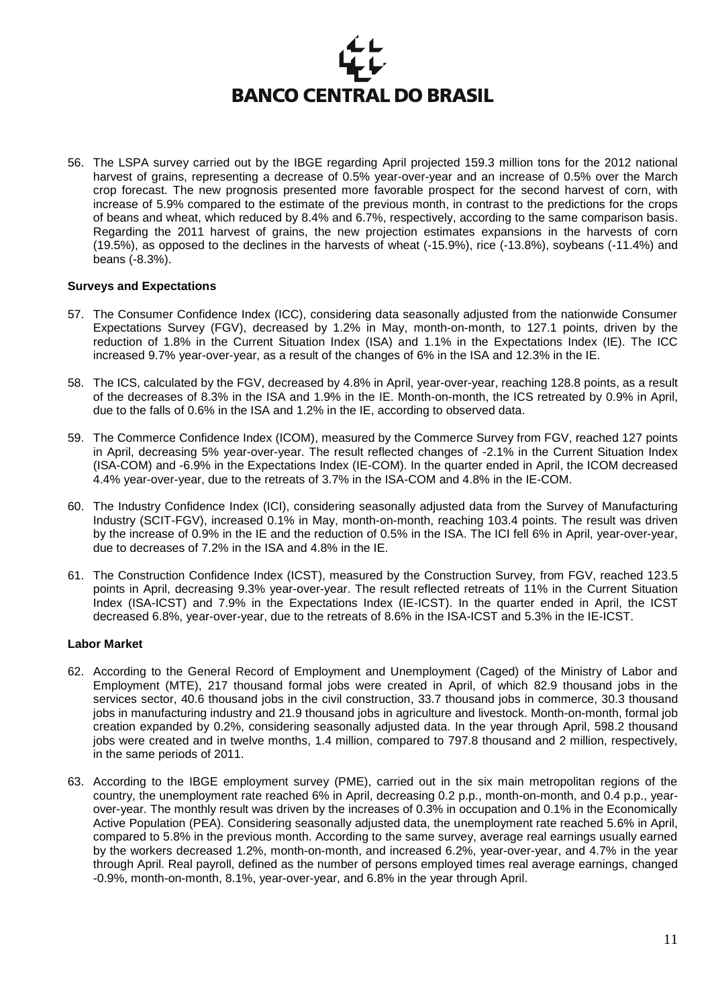

56. The LSPA survey carried out by the IBGE regarding April projected 159.3 million tons for the 2012 national harvest of grains, representing a decrease of 0.5% year-over-year and an increase of 0.5% over the March crop forecast. The new prognosis presented more favorable prospect for the second harvest of corn, with increase of 5.9% compared to the estimate of the previous month, in contrast to the predictions for the crops of beans and wheat, which reduced by 8.4% and 6.7%, respectively, according to the same comparison basis. Regarding the 2011 harvest of grains, the new projection estimates expansions in the harvests of corn (19.5%), as opposed to the declines in the harvests of wheat (-15.9%), rice (-13.8%), soybeans (-11.4%) and beans (-8.3%).

#### **Surveys and Expectations**

- 57. The Consumer Confidence Index (ICC), considering data seasonally adjusted from the nationwide Consumer Expectations Survey (FGV), decreased by 1.2% in May, month-on-month, to 127.1 points, driven by the reduction of 1.8% in the Current Situation Index (ISA) and 1.1% in the Expectations Index (IE). The ICC increased 9.7% year-over-year, as a result of the changes of 6% in the ISA and 12.3% in the IE.
- 58. The ICS, calculated by the FGV, decreased by 4.8% in April, year-over-year, reaching 128.8 points, as a result of the decreases of 8.3% in the ISA and 1.9% in the IE. Month-on-month, the ICS retreated by 0.9% in April, due to the falls of 0.6% in the ISA and 1.2% in the IE, according to observed data.
- 59. The Commerce Confidence Index (ICOM), measured by the Commerce Survey from FGV, reached 127 points in April, decreasing 5% year-over-year. The result reflected changes of -2.1% in the Current Situation Index (ISA-COM) and -6.9% in the Expectations Index (IE-COM). In the quarter ended in April, the ICOM decreased 4.4% year-over-year, due to the retreats of 3.7% in the ISA-COM and 4.8% in the IE-COM.
- 60. The Industry Confidence Index (ICI), considering seasonally adjusted data from the Survey of Manufacturing Industry (SCIT-FGV), increased 0.1% in May, month-on-month, reaching 103.4 points. The result was driven by the increase of 0.9% in the IE and the reduction of 0.5% in the ISA. The ICI fell 6% in April, year-over-year, due to decreases of 7.2% in the ISA and 4.8% in the IE.
- 61. The Construction Confidence Index (ICST), measured by the Construction Survey, from FGV, reached 123.5 points in April, decreasing 9.3% year-over-year. The result reflected retreats of 11% in the Current Situation Index (ISA-ICST) and 7.9% in the Expectations Index (IE-ICST). In the quarter ended in April, the ICST decreased 6.8%, year-over-year, due to the retreats of 8.6% in the ISA-ICST and 5.3% in the IE-ICST.

#### **Labor Market**

- 62. According to the General Record of Employment and Unemployment (Caged) of the Ministry of Labor and Employment (MTE), 217 thousand formal jobs were created in April, of which 82.9 thousand jobs in the services sector, 40.6 thousand jobs in the civil construction, 33.7 thousand jobs in commerce, 30.3 thousand jobs in manufacturing industry and 21.9 thousand jobs in agriculture and livestock. Month-on-month, formal job creation expanded by 0.2%, considering seasonally adjusted data. In the year through April, 598.2 thousand jobs were created and in twelve months, 1.4 million, compared to 797.8 thousand and 2 million, respectively, in the same periods of 2011.
- 63. According to the IBGE employment survey (PME), carried out in the six main metropolitan regions of the country, the unemployment rate reached 6% in April, decreasing 0.2 p.p., month-on-month, and 0.4 p.p., yearover-year. The monthly result was driven by the increases of 0.3% in occupation and 0.1% in the Economically Active Population (PEA). Considering seasonally adjusted data, the unemployment rate reached 5.6% in April, compared to 5.8% in the previous month. According to the same survey, average real earnings usually earned by the workers decreased 1.2%, month-on-month, and increased 6.2%, year-over-year, and 4.7% in the year through April. Real payroll, defined as the number of persons employed times real average earnings, changed -0.9%, month-on-month, 8.1%, year-over-year, and 6.8% in the year through April.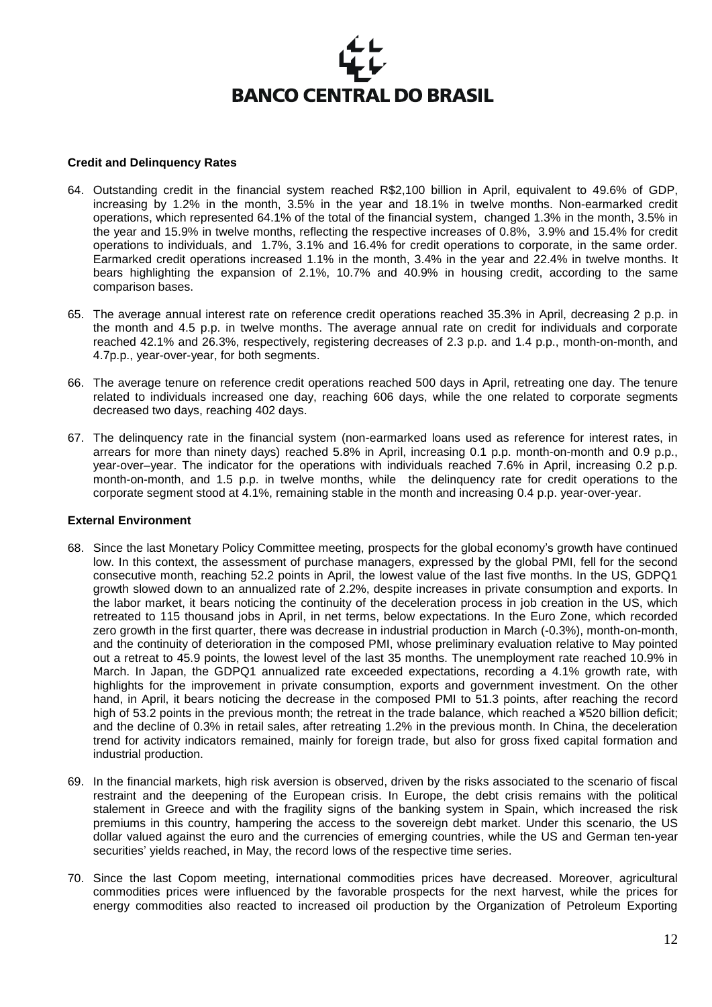#### **Credit and Delinquency Rates**

- 64. Outstanding credit in the financial system reached R\$2,100 billion in April, equivalent to 49.6% of GDP, increasing by 1.2% in the month, 3.5% in the year and 18.1% in twelve months. Non-earmarked credit operations, which represented 64.1% of the total of the financial system, changed 1.3% in the month, 3.5% in the year and 15.9% in twelve months, reflecting the respective increases of 0.8%, 3.9% and 15.4% for credit operations to individuals, and 1.7%, 3.1% and 16.4% for credit operations to corporate, in the same order. Earmarked credit operations increased 1.1% in the month, 3.4% in the year and 22.4% in twelve months. It bears highlighting the expansion of 2.1%, 10.7% and 40.9% in housing credit, according to the same comparison bases.
- 65. The average annual interest rate on reference credit operations reached 35.3% in April, decreasing 2 p.p. in the month and 4.5 p.p. in twelve months. The average annual rate on credit for individuals and corporate reached 42.1% and 26.3%, respectively, registering decreases of 2.3 p.p. and 1.4 p.p., month-on-month, and 4.7p.p., year-over-year, for both segments.
- 66. The average tenure on reference credit operations reached 500 days in April, retreating one day. The tenure related to individuals increased one day, reaching 606 days, while the one related to corporate segments decreased two days, reaching 402 days.
- 67. The delinquency rate in the financial system (non-earmarked loans used as reference for interest rates, in arrears for more than ninety days) reached 5.8% in April, increasing 0.1 p.p. month-on-month and 0.9 p.p., year-over–year. The indicator for the operations with individuals reached 7.6% in April, increasing 0.2 p.p. month-on-month, and 1.5 p.p. in twelve months, while the delinquency rate for credit operations to the corporate segment stood at 4.1%, remaining stable in the month and increasing 0.4 p.p. year-over-year.

#### **External Environment**

- 68. Since the last Monetary Policy Committee meeting, prospects for the global economy's growth have continued low. In this context, the assessment of purchase managers, expressed by the global PMI, fell for the second consecutive month, reaching 52.2 points in April, the lowest value of the last five months. In the US, GDPQ1 growth slowed down to an annualized rate of 2.2%, despite increases in private consumption and exports. In the labor market, it bears noticing the continuity of the deceleration process in job creation in the US, which retreated to 115 thousand jobs in April, in net terms, below expectations. In the Euro Zone, which recorded zero growth in the first quarter, there was decrease in industrial production in March (-0.3%), month-on-month, and the continuity of deterioration in the composed PMI, whose preliminary evaluation relative to May pointed out a retreat to 45.9 points, the lowest level of the last 35 months. The unemployment rate reached 10.9% in March. In Japan, the GDPQ1 annualized rate exceeded expectations, recording a 4.1% growth rate, with highlights for the improvement in private consumption, exports and government investment. On the other hand, in April, it bears noticing the decrease in the composed PMI to 51.3 points, after reaching the record high of 53.2 points in the previous month; the retreat in the trade balance, which reached a ¥520 billion deficit; and the decline of 0.3% in retail sales, after retreating 1.2% in the previous month. In China, the deceleration trend for activity indicators remained, mainly for foreign trade, but also for gross fixed capital formation and industrial production.
- 69. In the financial markets, high risk aversion is observed, driven by the risks associated to the scenario of fiscal restraint and the deepening of the European crisis. In Europe, the debt crisis remains with the political stalement in Greece and with the fragility signs of the banking system in Spain, which increased the risk premiums in this country, hampering the access to the sovereign debt market. Under this scenario, the US dollar valued against the euro and the currencies of emerging countries, while the US and German ten-year securities' yields reached, in May, the record lows of the respective time series.
- 70. Since the last Copom meeting, international commodities prices have decreased. Moreover, agricultural commodities prices were influenced by the favorable prospects for the next harvest, while the prices for energy commodities also reacted to increased oil production by the Organization of Petroleum Exporting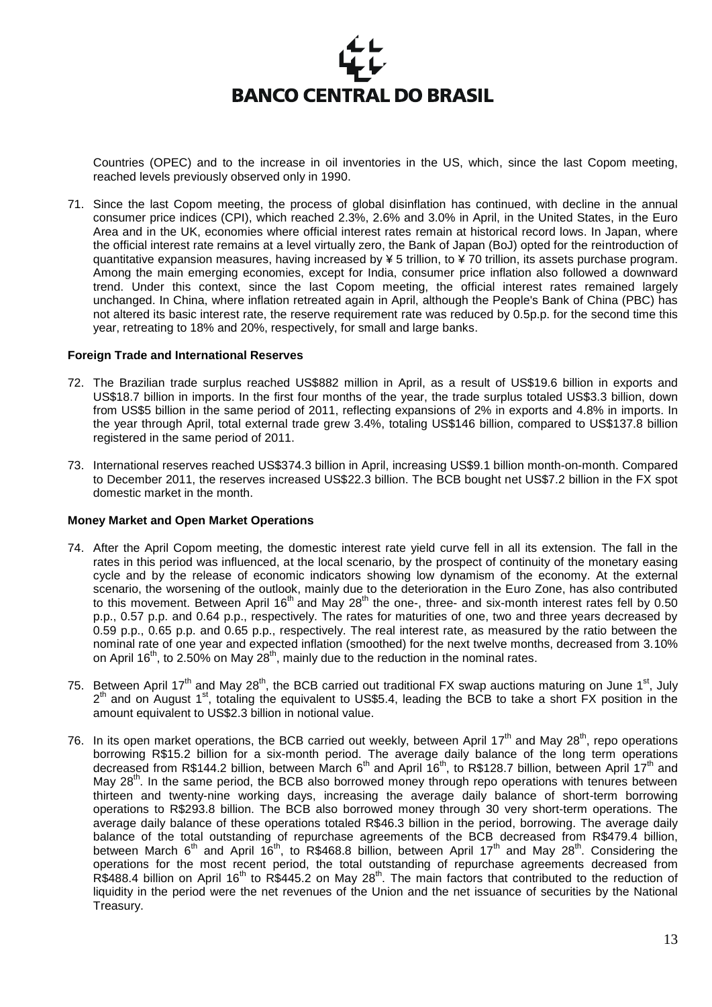

Countries (OPEC) and to the increase in oil inventories in the US, which, since the last Copom meeting, reached levels previously observed only in 1990.

71. Since the last Copom meeting, the process of global disinflation has continued, with decline in the annual consumer price indices (CPI), which reached 2.3%, 2.6% and 3.0% in April, in the United States, in the Euro Area and in the UK, economies where official interest rates remain at historical record lows. In Japan, where the official interest rate remains at a level virtually zero, the Bank of Japan (BoJ) opted for the reintroduction of quantitative expansion measures, having increased by  $\frac{1}{2}$  5 trillion, to  $\frac{1}{2}$  70 trillion, its assets purchase program. Among the main emerging economies, except for India, consumer price inflation also followed a downward trend. Under this context, since the last Copom meeting, the official interest rates remained largely unchanged. In China, where inflation retreated again in April, although the People's Bank of China (PBC) has not altered its basic interest rate, the reserve requirement rate was reduced by 0.5p.p. for the second time this year, retreating to 18% and 20%, respectively, for small and large banks.

#### **Foreign Trade and International Reserves**

- 72. The Brazilian trade surplus reached US\$882 million in April, as a result of US\$19.6 billion in exports and US\$18.7 billion in imports. In the first four months of the year, the trade surplus totaled US\$3.3 billion, down from US\$5 billion in the same period of 2011, reflecting expansions of 2% in exports and 4.8% in imports. In the year through April, total external trade grew 3.4%, totaling US\$146 billion, compared to US\$137.8 billion registered in the same period of 2011.
- 73. International reserves reached US\$374.3 billion in April, increasing US\$9.1 billion month-on-month. Compared to December 2011, the reserves increased US\$22.3 billion. The BCB bought net US\$7.2 billion in the FX spot domestic market in the month.

#### **Money Market and Open Market Operations**

- 74. After the April Copom meeting, the domestic interest rate yield curve fell in all its extension. The fall in the rates in this period was influenced, at the local scenario, by the prospect of continuity of the monetary easing cycle and by the release of economic indicators showing low dynamism of the economy. At the external scenario, the worsening of the outlook, mainly due to the deterioration in the Euro Zone, has also contributed to this movement. Between April 16<sup>th</sup> and May 28<sup>th</sup> the one-, three- and six-month interest rates fell by 0.50 p.p., 0.57 p.p. and 0.64 p.p., respectively. The rates for maturities of one, two and three years decreased by 0.59 p.p., 0.65 p.p. and 0.65 p.p., respectively. The real interest rate, as measured by the ratio between the nominal rate of one year and expected inflation (smoothed) for the next twelve months, decreased from 3.10% on April 16<sup>th</sup>, to 2.50% on May  $28<sup>th</sup>$ , mainly due to the reduction in the nominal rates.
- 75. Between April 17<sup>th</sup> and May 28<sup>th</sup>, the BCB carried out traditional FX swap auctions maturing on June 1<sup>st</sup>, July 2<sup>th</sup> and on August 1<sup>st</sup>, totaling the equivalent to US\$5.4, leading the BCB to take a short FX position in the amount equivalent to US\$2.3 billion in notional value.
- 76. In its open market operations, the BCB carried out weekly, between April 17<sup>th</sup> and May 28<sup>th</sup>, repo operations borrowing R\$15.2 billion for a six-month period. The average daily balance of the long term operations decreased from R\$144.2 billion, between March 6<sup>th</sup> and April 16<sup>th</sup>, to R\$128.7 billion, between April 17<sup>th</sup> and May 28<sup>th</sup>. In the same period, the BCB also borrowed money through repo operations with tenures between thirteen and twenty-nine working days, increasing the average daily balance of short-term borrowing operations to R\$293.8 billion. The BCB also borrowed money through 30 very short-term operations. The average daily balance of these operations totaled R\$46.3 billion in the period, borrowing. The average daily balance of the total outstanding of repurchase agreements of the BCB decreased from R\$479.4 billion, between March 6<sup>th</sup> and April 16<sup>th</sup>, to R\$468.8 billion, between April 17<sup>th</sup> and May 28<sup>th</sup>. Considering the operations for the most recent period, the total outstanding of repurchase agreements decreased from R\$488.4 billion on April 16<sup>th</sup> to R\$445.2 on May 28<sup>th</sup>. The main factors that contributed to the reduction of liquidity in the period were the net revenues of the Union and the net issuance of securities by the National Treasury.